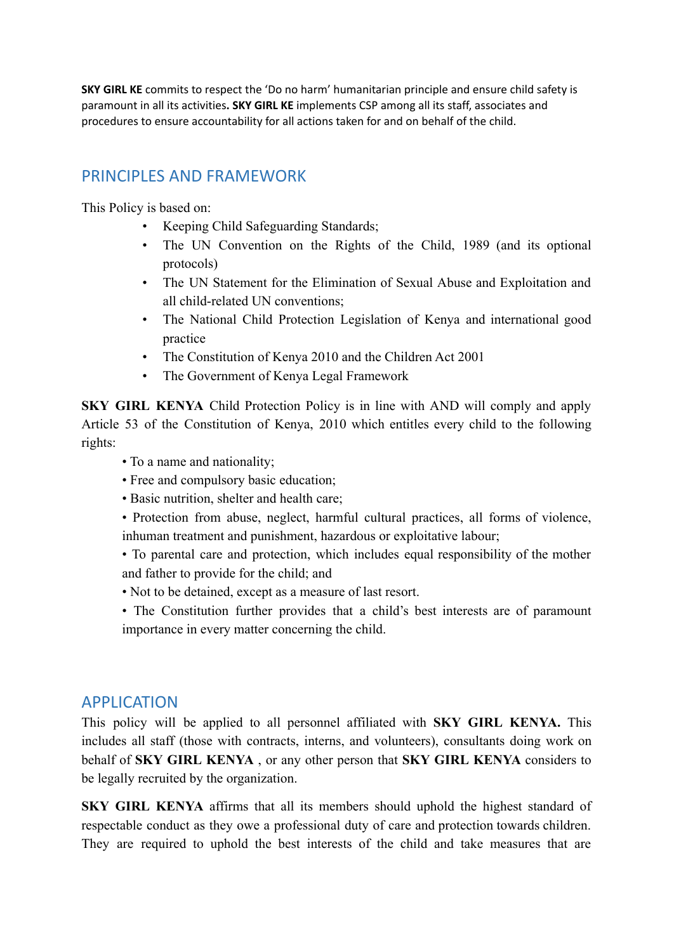**SKY GIRL KE** commits to respect the 'Do no harm' humanitarian principle and ensure child safety is paramount in all its activities**. SKY GIRL KE** implements CSP among all its staff, associates and procedures to ensure accountability for all actions taken for and on behalf of the child.

## PRINCIPLES AND FRAMEWORK

This Policy is based on:

- Keeping Child Safeguarding Standards;
- The UN Convention on the Rights of the Child, 1989 (and its optional protocols)
- The UN Statement for the Elimination of Sexual Abuse and Exploitation and all child-related UN conventions;
- The National Child Protection Legislation of Kenya and international good practice
- The Constitution of Kenya 2010 and the Children Act 2001
- The Government of Kenya Legal Framework

**SKY GIRL KENYA** Child Protection Policy is in line with AND will comply and apply Article 53 of the Constitution of Kenya, 2010 which entitles every child to the following rights:

- To a name and nationality;
- Free and compulsory basic education;
- Basic nutrition, shelter and health care;
- Protection from abuse, neglect, harmful cultural practices, all forms of violence, inhuman treatment and punishment, hazardous or exploitative labour;

• To parental care and protection, which includes equal responsibility of the mother and father to provide for the child; and

- Not to be detained, except as a measure of last resort.
- The Constitution further provides that a child's best interests are of paramount importance in every matter concerning the child.

## APPLICATION

This policy will be applied to all personnel affiliated with **SKY GIRL KENYA.** This includes all staff (those with contracts, interns, and volunteers), consultants doing work on behalf of **SKY GIRL KENYA** , or any other person that **SKY GIRL KENYA** considers to be legally recruited by the organization.

**SKY GIRL KENYA** affirms that all its members should uphold the highest standard of respectable conduct as they owe a professional duty of care and protection towards children. They are required to uphold the best interests of the child and take measures that are